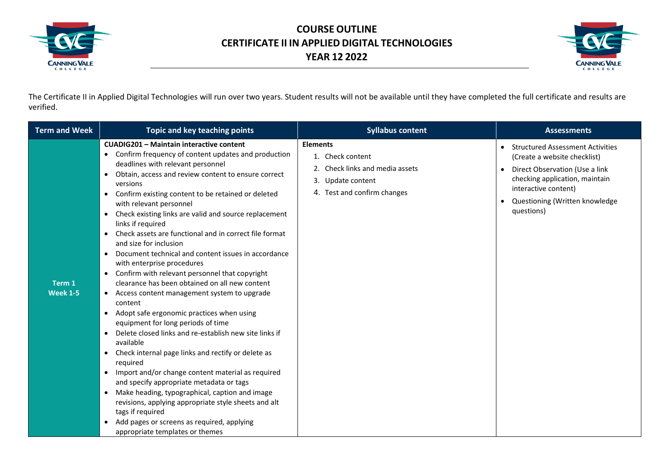



The Certificate II in Applied Digital Technologies will run over two years. Student results will not be available until they have completed the full certificate and results are verified.

| <b>Term and Week</b>      | Topic and key teaching points                                                                                                                                                                                                                                                                                                                                                                                                                                                                                                                                                                                                                                                                                                                                                                                                                                                                                                                                                                                                                                                                                                                                                                                                                                                                                                                                                                                   | <b>Syllabus content</b>                                                                                                    | <b>Assessments</b>                                                                                                                                                                                                  |
|---------------------------|-----------------------------------------------------------------------------------------------------------------------------------------------------------------------------------------------------------------------------------------------------------------------------------------------------------------------------------------------------------------------------------------------------------------------------------------------------------------------------------------------------------------------------------------------------------------------------------------------------------------------------------------------------------------------------------------------------------------------------------------------------------------------------------------------------------------------------------------------------------------------------------------------------------------------------------------------------------------------------------------------------------------------------------------------------------------------------------------------------------------------------------------------------------------------------------------------------------------------------------------------------------------------------------------------------------------------------------------------------------------------------------------------------------------|----------------------------------------------------------------------------------------------------------------------------|---------------------------------------------------------------------------------------------------------------------------------------------------------------------------------------------------------------------|
| Term 1<br><b>Week 1-5</b> | <b>CUADIG201 - Maintain interactive content</b><br>Confirm frequency of content updates and production<br>$\bullet$<br>deadlines with relevant personnel<br>Obtain, access and review content to ensure correct<br>$\bullet$<br>versions<br>Confirm existing content to be retained or deleted<br>$\bullet$<br>with relevant personnel<br>Check existing links are valid and source replacement<br>$\bullet$<br>links if required<br>Check assets are functional and in correct file format<br>and size for inclusion<br>Document technical and content issues in accordance<br>$\bullet$<br>with enterprise procedures<br>Confirm with relevant personnel that copyright<br>$\bullet$<br>clearance has been obtained on all new content<br>Access content management system to upgrade<br>$\bullet$<br>content<br>Adopt safe ergonomic practices when using<br>$\bullet$<br>equipment for long periods of time<br>Delete closed links and re-establish new site links if<br>available<br>Check internal page links and rectify or delete as<br>$\bullet$<br>required<br>Import and/or change content material as required<br>$\bullet$<br>and specify appropriate metadata or tags<br>Make heading, typographical, caption and image<br>$\bullet$<br>revisions, applying appropriate style sheets and alt<br>tags if required<br>Add pages or screens as required, applying<br>appropriate templates or themes | <b>Elements</b><br>1. Check content<br>2. Check links and media assets<br>3. Update content<br>4. Test and confirm changes | <b>Structured Assessment Activities</b><br>(Create a website checklist)<br>Direct Observation (Use a link<br>checking application, maintain<br>interactive content)<br>Questioning (Written knowledge<br>questions) |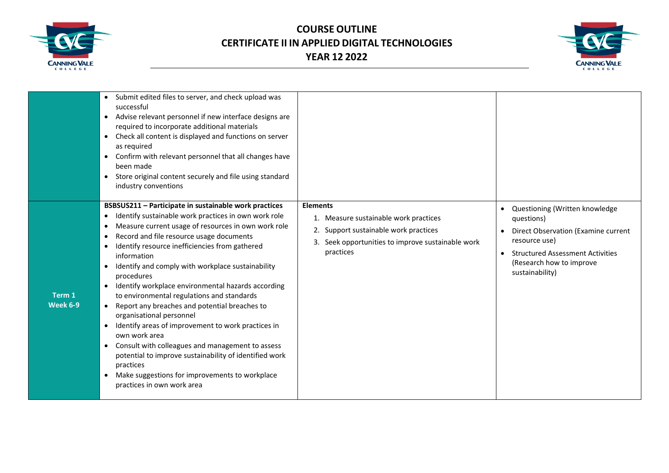



|                    | Submit edited files to server, and check upload was<br>successful<br>Advise relevant personnel if new interface designs are<br>required to incorporate additional materials<br>Check all content is displayed and functions on server<br>$\bullet$<br>as required<br>Confirm with relevant personnel that all changes have<br>$\bullet$<br>been made<br>Store original content securely and file using standard<br>$\bullet$<br>industry conventions                                                                                                                                                                                                                                                                                                                                                                                                                                                               |                                                                                                                                                                     |                                                                                                                                                                                                |
|--------------------|--------------------------------------------------------------------------------------------------------------------------------------------------------------------------------------------------------------------------------------------------------------------------------------------------------------------------------------------------------------------------------------------------------------------------------------------------------------------------------------------------------------------------------------------------------------------------------------------------------------------------------------------------------------------------------------------------------------------------------------------------------------------------------------------------------------------------------------------------------------------------------------------------------------------|---------------------------------------------------------------------------------------------------------------------------------------------------------------------|------------------------------------------------------------------------------------------------------------------------------------------------------------------------------------------------|
| Term 1<br>Week 6-9 | BSBSUS211 - Participate in sustainable work practices<br>Identify sustainable work practices in own work role<br>$\bullet$<br>Measure current usage of resources in own work role<br>$\bullet$<br>Record and file resource usage documents<br>$\bullet$<br>Identify resource inefficiencies from gathered<br>$\bullet$<br>information<br>Identify and comply with workplace sustainability<br>procedures<br>Identify workplace environmental hazards according<br>$\bullet$<br>to environmental regulations and standards<br>Report any breaches and potential breaches to<br>$\bullet$<br>organisational personnel<br>Identify areas of improvement to work practices in<br>own work area<br>Consult with colleagues and management to assess<br>potential to improve sustainability of identified work<br>practices<br>Make suggestions for improvements to workplace<br>$\bullet$<br>practices in own work area | <b>Elements</b><br>1. Measure sustainable work practices<br>2. Support sustainable work practices<br>3. Seek opportunities to improve sustainable work<br>practices | Questioning (Written knowledge<br>questions)<br>Direct Observation (Examine current<br>resource use)<br><b>Structured Assessment Activities</b><br>(Research how to improve<br>sustainability) |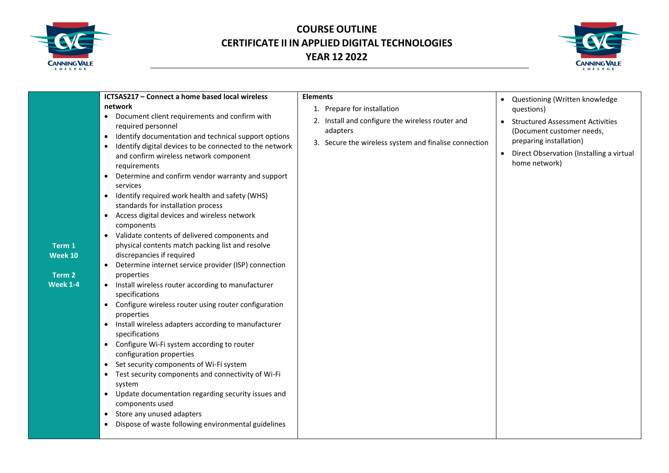



| ICTSAS217 - Connect a home based local wireless                                                                                                                                                                                                                                                                                                                                                                                                                                                                                                                                                                                                                                                                                                                                                                                                                                                                                                                                                                                                                                                                                                                                                                                                                                                                                                                                                                                                                                                               | <b>Elements</b>                                                                                                                                      |                                                                                                                                                                                                                                        |
|---------------------------------------------------------------------------------------------------------------------------------------------------------------------------------------------------------------------------------------------------------------------------------------------------------------------------------------------------------------------------------------------------------------------------------------------------------------------------------------------------------------------------------------------------------------------------------------------------------------------------------------------------------------------------------------------------------------------------------------------------------------------------------------------------------------------------------------------------------------------------------------------------------------------------------------------------------------------------------------------------------------------------------------------------------------------------------------------------------------------------------------------------------------------------------------------------------------------------------------------------------------------------------------------------------------------------------------------------------------------------------------------------------------------------------------------------------------------------------------------------------------|------------------------------------------------------------------------------------------------------------------------------------------------------|----------------------------------------------------------------------------------------------------------------------------------------------------------------------------------------------------------------------------------------|
| network<br>Document client requirements and confirm with<br>$\bullet$<br>required personnel<br>Identify documentation and technical support options<br>$\bullet$<br>Identify digital devices to be connected to the network<br>$\bullet$<br>and confirm wireless network component<br>requirements<br>Determine and confirm vendor warranty and support<br>$\bullet$<br>services<br>Identify required work health and safety (WHS)<br>$\bullet$<br>standards for installation process<br>Access digital devices and wireless network<br>$\bullet$<br>components<br>• Validate contents of delivered components and<br>physical contents match packing list and resolve<br>Term 1<br>discrepancies if required<br>Week 10<br>Determine internet service provider (ISP) connection<br>$\bullet$<br>Term 2<br>properties<br><b>Week 1-4</b><br>Install wireless router according to manufacturer<br>specifications<br>• Configure wireless router using router configuration<br>properties<br>Install wireless adapters according to manufacturer<br>$\bullet$<br>specifications<br>Configure Wi-Fi system according to router<br>$\bullet$<br>configuration properties<br>Set security components of Wi-Fi system<br>$\bullet$<br>Test security components and connectivity of Wi-Fi<br>$\bullet$<br>system<br>Update documentation regarding security issues and<br>$\bullet$<br>components used<br>Store any unused adapters<br>$\bullet$<br>Dispose of waste following environmental guidelines<br>$\bullet$ | 1. Prepare for installation<br>2. Install and configure the wireless router and<br>adapters<br>3. Secure the wireless system and finalise connection | Questioning (Written knowledge<br>$\bullet$<br>questions)<br><b>Structured Assessment Activities</b><br>$\bullet$<br>(Document customer needs,<br>preparing installation)<br>Direct Observation (Installing a virtual<br>home network) |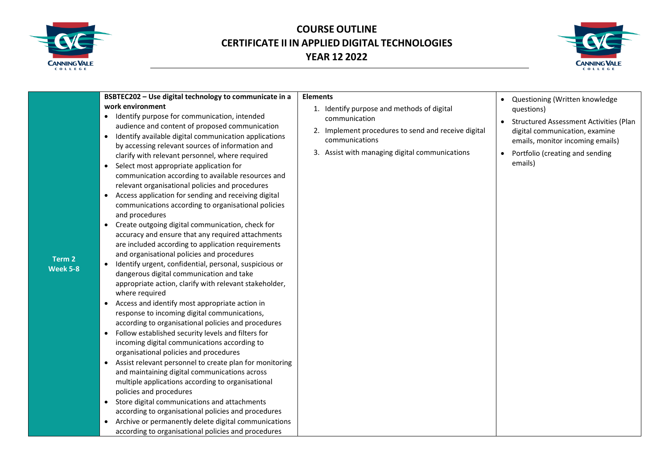